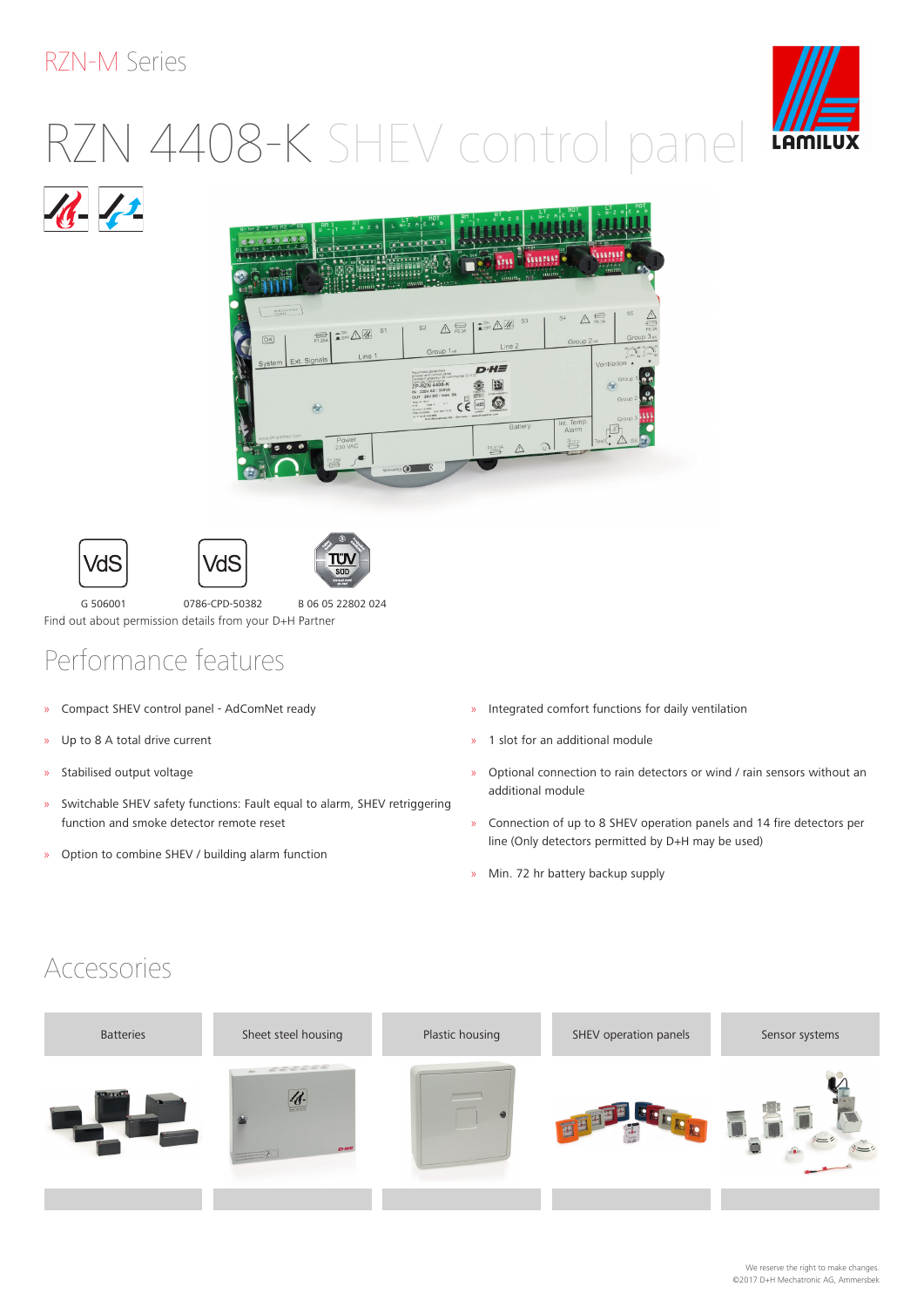#### RZN-M Series

# RZN 4408-K SHEV control panel











G 506001 0786-CPD-50382 B 06 05 22802 024 Find out about permission details from your D+H Partner

VdS

# Performance features

- » Compact SHEV control panel AdComNet ready
- » Up to 8 A total drive current
- » Stabilised output voltage
- » Switchable SHEV safety functions: Fault equal to alarm, SHEV retriggering function and smoke detector remote reset
- » Option to combine SHEV / building alarm function
- » Integrated comfort functions for daily ventilation
- » 1 slot for an additional module
- » Optional connection to rain detectors or wind / rain sensors without an additional module
- » Connection of up to 8 SHEV operation panels and 14 fire detectors per line (Only detectors permitted by D+H may be used)
- » Min. 72 hr battery backup supply

### Accessories



We reserve the right to make changes. ©2017 D+H Mechatronic AG, Ammersbek